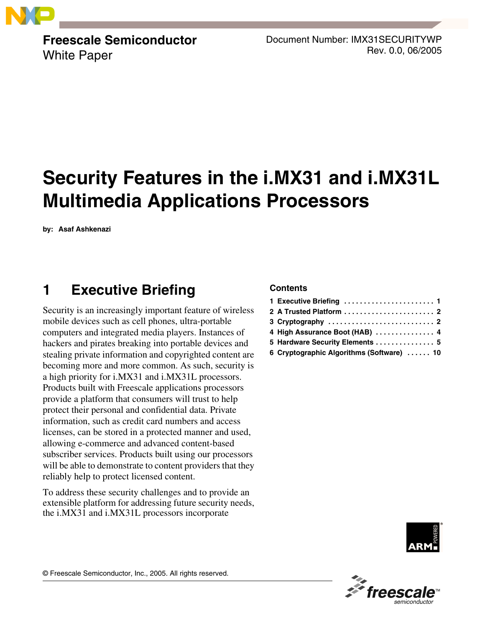

**Freescale Semiconductor** White Paper

Document Number: IMX31SECURITYWP Rev. 0.0, 06/2005

# **Security Features in the i.MX31 and i.MX31L Multimedia Applications Processors**

**by: Asaf Ashkenazi**

# <span id="page-0-0"></span>**1 Executive Briefing**

Security is an increasingly important feature of wireless mobile devices such as cell phones, ultra-portable computers and integrated media players. Instances of hackers and pirates breaking into portable devices and stealing private information and copyrighted content are becoming more and more common. As such, security is a high priority for i.MX31 and i.MX31L processors. Products built with Freescale applications processors provide a platform that consumers will trust to help protect their personal and confidential data. Private information, such as credit card numbers and access licenses, can be stored in a protected manner and used, allowing e-commerce and advanced content-based subscriber services. Products built using our processors will be able to demonstrate to content providers that they reliably help to protect licensed content.

To address these security challenges and to provide an extensible platform for addressing future security needs, the i.MX31 and i.MX31L processors incorporate

#### **Contents**

| 3 Cryptography $\ldots \ldots \ldots \ldots \ldots \ldots \ldots \ldots$ 2 |
|----------------------------------------------------------------------------|
| 4 High Assurance Boot (HAB)  4                                             |
| 5 Hardware Security Elements  5                                            |
| 6 Cryptographic Algorithms (Software)  10                                  |





© Freescale Semiconductor, Inc., 2005. All rights reserved.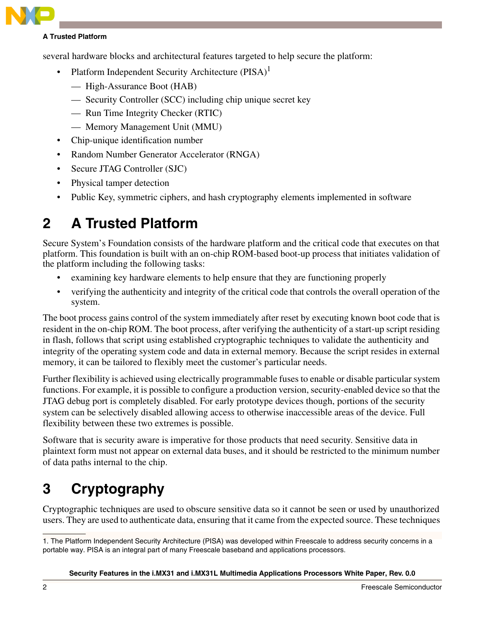

#### **A Trusted Platform**

several hardware blocks and architectural features targeted to help secure the platform:

- Platform Independent Security Architecture  $(PISA)^1$ 
	- High-Assurance Boot (HAB)
	- Security Controller (SCC) including chip unique secret key
	- Run Time Integrity Checker (RTIC)
	- Memory Management Unit (MMU)
- Chip-unique identification number
- Random Number Generator Accelerator (RNGA)
- Secure JTAG Controller (SJC)
- Physical tamper detection
- Public Key, symmetric ciphers, and hash cryptography elements implemented in software

# <span id="page-1-0"></span>**2 A Trusted Platform**

Secure System's Foundation consists of the hardware platform and the critical code that executes on that platform. This foundation is built with an on-chip ROM-based boot-up process that initiates validation of the platform including the following tasks:

- examining key hardware elements to help ensure that they are functioning properly
- verifying the authenticity and integrity of the critical code that controls the overall operation of the system.

The boot process gains control of the system immediately after reset by executing known boot code that is resident in the on-chip ROM. The boot process, after verifying the authenticity of a start-up script residing in flash, follows that script using established cryptographic techniques to validate the authenticity and integrity of the operating system code and data in external memory. Because the script resides in external memory, it can be tailored to flexibly meet the customer's particular needs.

Further flexibility is achieved using electrically programmable fuses to enable or disable particular system functions. For example, it is possible to configure a production version, security-enabled device so that the JTAG debug port is completely disabled. For early prototype devices though, portions of the security system can be selectively disabled allowing access to otherwise inaccessible areas of the device. Full flexibility between these two extremes is possible.

Software that is security aware is imperative for those products that need security. Sensitive data in plaintext form must not appear on external data buses, and it should be restricted to the minimum number of data paths internal to the chip.

# <span id="page-1-1"></span>**3 Cryptography**

Cryptographic techniques are used to obscure sensitive data so it cannot be seen or used by unauthorized users. They are used to authenticate data, ensuring that it came from the expected source. These techniques

#### **Security Features in the i.MX31 and i.MX31L Multimedia Applications Processors White Paper, Rev. 0.0**

<sup>1.</sup> The Platform Independent Security Architecture (PISA) was developed within Freescale to address security concerns in a portable way. PISA is an integral part of many Freescale baseband and applications processors.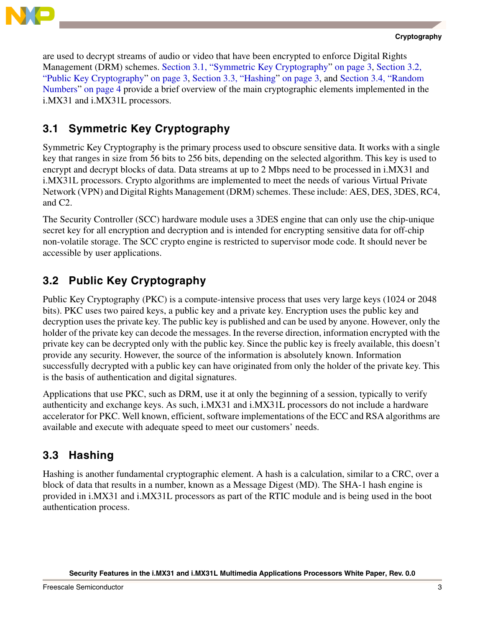

are used to decrypt streams of audio or video that have been encrypted to enforce Digital Rights Management (DRM) schemes. [Section 3.1, "Symmetric Key Cryptography"](#page-2-0) [on page 3,](#page-2-0) [Section 3.2,](#page-2-1)  ["Public Key Cryptography](#page-2-1)" [on page 3](#page-2-1), [Section 3.3, "Hashing](#page-2-2)" [on page 3](#page-2-2), and [Section 3.4, "Random](#page-3-1)  [Numbers" on page 4](#page-3-1) provide a brief overview of the main cryptographic elements implemented in the i.MX31 and i.MX31L processors.

# <span id="page-2-0"></span>**3.1 Symmetric Key Cryptography**

Symmetric Key Cryptography is the primary process used to obscure sensitive data. It works with a single key that ranges in size from 56 bits to 256 bits, depending on the selected algorithm. This key is used to encrypt and decrypt blocks of data. Data streams at up to 2 Mbps need to be processed in i.MX31 and i.MX31L processors. Crypto algorithms are implemented to meet the needs of various Virtual Private Network (VPN) and Digital Rights Management (DRM) schemes. These include: AES, DES, 3DES, RC4, and C2.

The Security Controller (SCC) hardware module uses a 3DES engine that can only use the chip-unique secret key for all encryption and decryption and is intended for encrypting sensitive data for off-chip non-volatile storage. The SCC crypto engine is restricted to supervisor mode code. It should never be accessible by user applications.

## <span id="page-2-1"></span>**3.2 Public Key Cryptography**

Public Key Cryptography (PKC) is a compute-intensive process that uses very large keys (1024 or 2048 bits). PKC uses two paired keys, a public key and a private key. Encryption uses the public key and decryption uses the private key. The public key is published and can be used by anyone. However, only the holder of the private key can decode the messages. In the reverse direction, information encrypted with the private key can be decrypted only with the public key. Since the public key is freely available, this doesn't provide any security. However, the source of the information is absolutely known. Information successfully decrypted with a public key can have originated from only the holder of the private key. This is the basis of authentication and digital signatures.

Applications that use PKC, such as DRM, use it at only the beginning of a session, typically to verify authenticity and exchange keys. As such, i.MX31 and i.MX31L processors do not include a hardware accelerator for PKC. Well known, efficient, software implementations of the ECC and RSA algorithms are available and execute with adequate speed to meet our customers' needs.

## <span id="page-2-2"></span>**3.3 Hashing**

Hashing is another fundamental cryptographic element. A hash is a calculation, similar to a CRC, over a block of data that results in a number, known as a Message Digest (MD). The SHA-1 hash engine is provided in i.MX31 and i.MX31L processors as part of the RTIC module and is being used in the boot authentication process.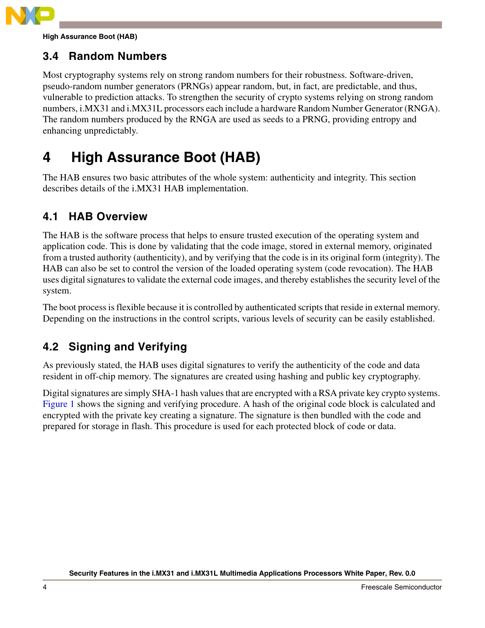

**High Assurance Boot (HAB)**

## <span id="page-3-1"></span>**3.4 Random Numbers**

Most cryptography systems rely on strong random numbers for their robustness. Software-driven, pseudo-random number generators (PRNGs) appear random, but, in fact, are predictable, and thus, vulnerable to prediction attacks. To strengthen the security of crypto systems relying on strong random numbers, i.MX31 and i.MX31L processors each include a hardware Random Number Generator (RNGA). The random numbers produced by the RNGA are used as seeds to a PRNG, providing entropy and enhancing unpredictably.

# <span id="page-3-0"></span>**4 High Assurance Boot (HAB)**

The HAB ensures two basic attributes of the whole system: authenticity and integrity. This section describes details of the i.MX31 HAB implementation.

## **4.1 HAB Overview**

The HAB is the software process that helps to ensure trusted execution of the operating system and application code. This is done by validating that the code image, stored in external memory, originated from a trusted authority (authenticity), and by verifying that the code is in its original form (integrity). The HAB can also be set to control the version of the loaded operating system (code revocation). The HAB uses digital signatures to validate the external code images, and thereby establishes the security level of the system.

The boot process is flexible because it is controlled by authenticated scripts that reside in external memory. Depending on the instructions in the control scripts, various levels of security can be easily established.

## **4.2 Signing and Verifying**

As previously stated, the HAB uses digital signatures to verify the authenticity of the code and data resident in off-chip memory. The signatures are created using hashing and public key cryptography.

Digital signatures are simply SHA-1 hash values that are encrypted with a RSA private key crypto systems. [Figure 1](#page-4-1) shows the signing and verifying procedure. A hash of the original code block is calculated and encrypted with the private key creating a signature. The signature is then bundled with the code and prepared for storage in flash. This procedure is used for each protected block of code or data.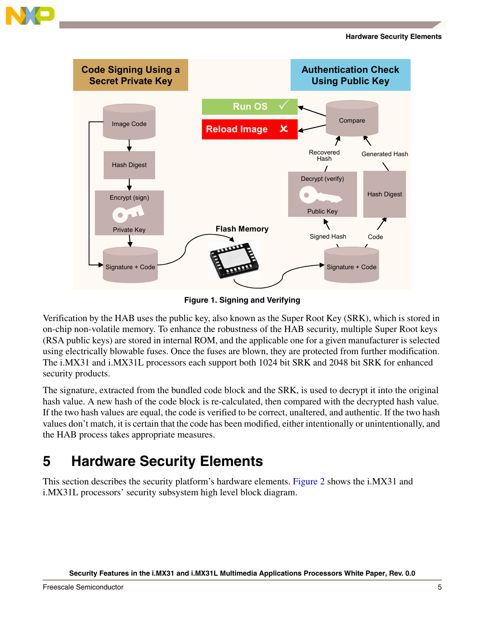



**Figure 1. Signing and Verifying**

<span id="page-4-1"></span>Verification by the HAB uses the public key, also known as the Super Root Key (SRK), which is stored in on-chip non-volatile memory. To enhance the robustness of the HAB security, multiple Super Root keys (RSA public keys) are stored in internal ROM, and the applicable one for a given manufacturer is selected using electrically blowable fuses. Once the fuses are blown, they are protected from further modification. The i.MX31 and i.MX31L processors each support both 1024 bit SRK and 2048 bit SRK for enhanced security products.

The signature, extracted from the bundled code block and the SRK, is used to decrypt it into the original hash value. A new hash of the code block is re-calculated, then compared with the decrypted hash value. If the two hash values are equal, the code is verified to be correct, unaltered, and authentic. If the two hash values don't match, it is certain that the code has been modified, either intentionally or unintentionally, and the HAB process takes appropriate measures.

# <span id="page-4-0"></span>**5 Hardware Security Elements**

This section describes the security platform's hardware elements. [Figure 2](#page-5-0) shows the i.MX31 and i.MX31L processors' security subsystem high level block diagram.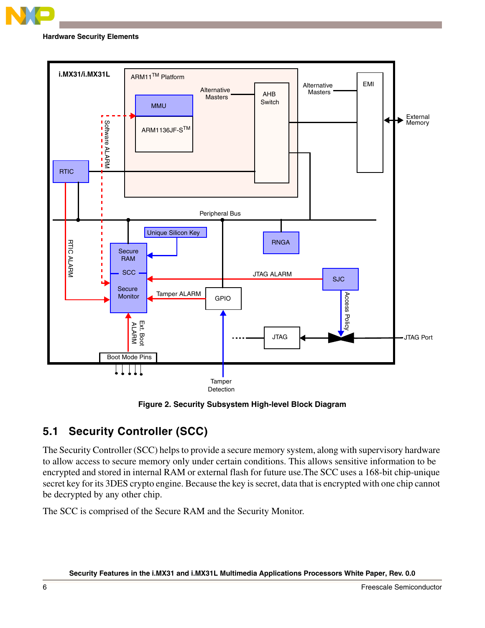

**Hardware Security Elements**



**Figure 2. Security Subsystem High-level Block Diagram**

# <span id="page-5-0"></span>**5.1 Security Controller (SCC)**

The Security Controller (SCC) helps to provide a secure memory system, along with supervisory hardware to allow access to secure memory only under certain conditions. This allows sensitive information to be encrypted and stored in internal RAM or external flash for future use.The SCC uses a 168-bit chip-unique secret key for its 3DES crypto engine. Because the key is secret, data that is encrypted with one chip cannot be decrypted by any other chip.

The SCC is comprised of the Secure RAM and the Security Monitor.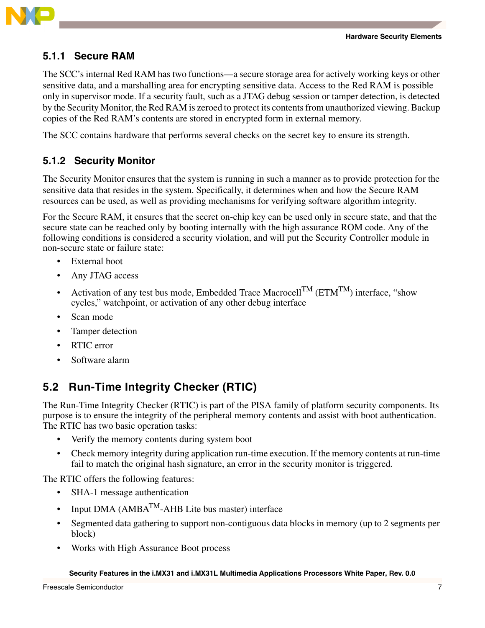

### **5.1.1 Secure RAM**

The SCC's internal Red RAM has two functions—a secure storage area for actively working keys or other sensitive data, and a marshalling area for encrypting sensitive data. Access to the Red RAM is possible only in supervisor mode. If a security fault, such as a JTAG debug session or tamper detection, is detected by the Security Monitor, the Red RAM is zeroed to protect its contents from unauthorized viewing. Backup copies of the Red RAM's contents are stored in encrypted form in external memory.

The SCC contains hardware that performs several checks on the secret key to ensure its strength.

### **5.1.2 Security Monitor**

The Security Monitor ensures that the system is running in such a manner as to provide protection for the sensitive data that resides in the system. Specifically, it determines when and how the Secure RAM resources can be used, as well as providing mechanisms for verifying software algorithm integrity.

For the Secure RAM, it ensures that the secret on-chip key can be used only in secure state, and that the secure state can be reached only by booting internally with the high assurance ROM code. Any of the following conditions is considered a security violation, and will put the Security Controller module in non-secure state or failure state:

- External boot
- Any JTAG access
- Activation of any test bus mode, Embedded Trace Macrocell<sup>TM</sup> ( $ETM^{TM}$ ) interface, "show cycles," watchpoint, or activation of any other debug interface
- Scan mode
- Tamper detection
- RTIC error
- Software alarm

### **5.2 Run-Time Integrity Checker (RTIC)**

The Run-Time Integrity Checker (RTIC) is part of the PISA family of platform security components. Its purpose is to ensure the integrity of the peripheral memory contents and assist with boot authentication. The RTIC has two basic operation tasks:

- Verify the memory contents during system boot
- Check memory integrity during application run-time execution. If the memory contents at run-time fail to match the original hash signature, an error in the security monitor is triggered.

The RTIC offers the following features:

- SHA-1 message authentication
- Input DMA ( $AMBA<sup>TM</sup>$ -AHB Lite bus master) interface
- Segmented data gathering to support non-contiguous data blocks in memory (up to 2 segments per block)
- Works with High Assurance Boot process

#### **Security Features in the i.MX31 and i.MX31L Multimedia Applications Processors White Paper, Rev. 0.0**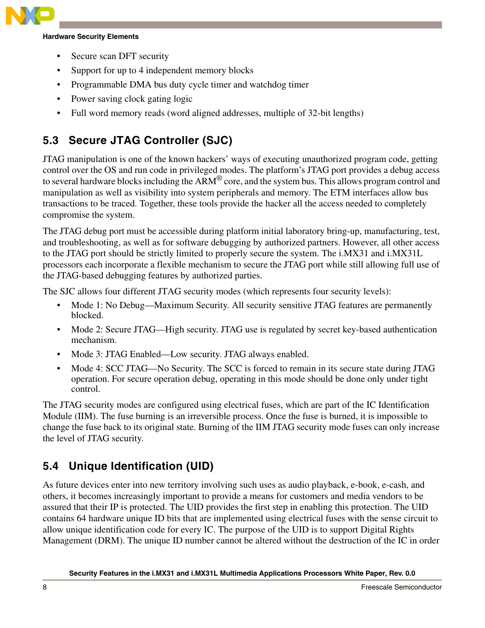

#### **Hardware Security Elements**

- Secure scan DFT security
- Support for up to 4 independent memory blocks
- Programmable DMA bus duty cycle timer and watchdog timer
- Power saving clock gating logic
- Full word memory reads (word aligned addresses, multiple of 32-bit lengths)

# **5.3 Secure JTAG Controller (SJC)**

JTAG manipulation is one of the known hackers' ways of executing unauthorized program code, getting control over the OS and run code in privileged modes. The platform's JTAG port provides a debug access to several hardware blocks including the ARM® core, and the system bus. This allows program control and manipulation as well as visibility into system peripherals and memory. The ETM interfaces allow bus transactions to be traced. Together, these tools provide the hacker all the access needed to completely compromise the system.

The JTAG debug port must be accessible during platform initial laboratory bring-up, manufacturing, test, and troubleshooting, as well as for software debugging by authorized partners. However, all other access to the JTAG port should be strictly limited to properly secure the system. The i.MX31 and i.MX31L processors each incorporate a flexible mechanism to secure the JTAG port while still allowing full use of the JTAG-based debugging features by authorized parties.

The SJC allows four different JTAG security modes (which represents four security levels):

- Mode 1: No Debug—Maximum Security. All security sensitive JTAG features are permanently blocked.
- Mode 2: Secure JTAG—High security. JTAG use is regulated by secret key-based authentication mechanism.
- Mode 3: JTAG Enabled—Low security. JTAG always enabled.
- Mode 4: SCC JTAG—No Security. The SCC is forced to remain in its secure state during JTAG operation. For secure operation debug, operating in this mode should be done only under tight control.

The JTAG security modes are configured using electrical fuses, which are part of the IC Identification Module (IIM). The fuse burning is an irreversible process. Once the fuse is burned, it is impossible to change the fuse back to its original state. Burning of the IIM JTAG security mode fuses can only increase the level of JTAG security.

## **5.4 Unique Identification (UID)**

As future devices enter into new territory involving such uses as audio playback, e-book, e-cash, and others, it becomes increasingly important to provide a means for customers and media vendors to be assured that their IP is protected. The UID provides the first step in enabling this protection. The UID contains 64 hardware unique ID bits that are implemented using electrical fuses with the sense circuit to allow unique identification code for every IC. The purpose of the UID is to support Digital Rights Management (DRM). The unique ID number cannot be altered without the destruction of the IC in order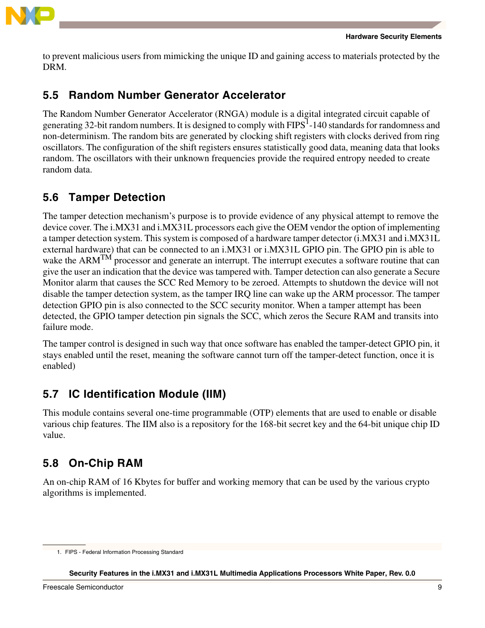

to prevent malicious users from mimicking the unique ID and gaining access to materials protected by the DRM.

### **5.5 Random Number Generator Accelerator**

The Random Number Generator Accelerator (RNGA) module is a digital integrated circuit capable of generating 32-bit random numbers. It is designed to comply with  $FIPS<sup>1</sup>$ -140 standards for randomness and non-determinism. The random bits are generated by clocking shift registers with clocks derived from ring oscillators. The configuration of the shift registers ensures statistically good data, meaning data that looks random. The oscillators with their unknown frequencies provide the required entropy needed to create random data.

## **5.6 Tamper Detection**

The tamper detection mechanism's purpose is to provide evidence of any physical attempt to remove the device cover. The i.MX31 and i.MX31L processors each give the OEM vendor the option of implementing a tamper detection system. This system is composed of a hardware tamper detector (i.MX31 and i.MX31L external hardware) that can be connected to an i.MX31 or i.MX31L GPIO pin. The GPIO pin is able to wake the ARM<sup>TM</sup> processor and generate an interrupt. The interrupt executes a software routine that can give the user an indication that the device was tampered with. Tamper detection can also generate a Secure Monitor alarm that causes the SCC Red Memory to be zeroed. Attempts to shutdown the device will not disable the tamper detection system, as the tamper IRQ line can wake up the ARM processor. The tamper detection GPIO pin is also connected to the SCC security monitor. When a tamper attempt has been detected, the GPIO tamper detection pin signals the SCC, which zeros the Secure RAM and transits into failure mode.

The tamper control is designed in such way that once software has enabled the tamper-detect GPIO pin, it stays enabled until the reset, meaning the software cannot turn off the tamper-detect function, once it is enabled)

# **5.7 IC Identification Module (IIM)**

This module contains several one-time programmable (OTP) elements that are used to enable or disable various chip features. The IIM also is a repository for the 168-bit secret key and the 64-bit unique chip ID value.

# **5.8 On-Chip RAM**

An on-chip RAM of 16 Kbytes for buffer and working memory that can be used by the various crypto algorithms is implemented.

<sup>1.</sup> FIPS - Federal Information Processing Standard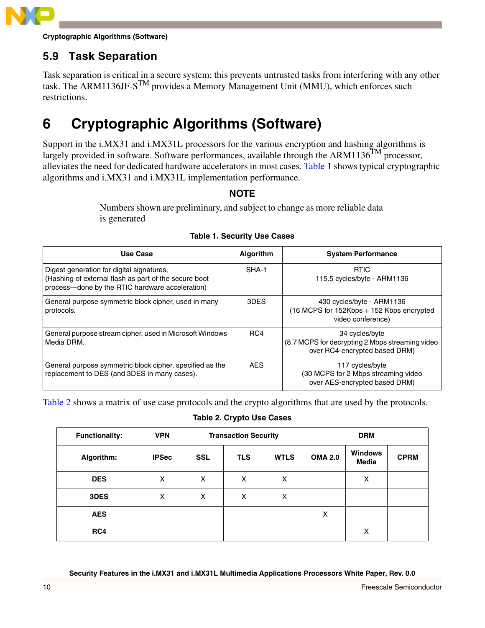

**Cryptographic Algorithms (Software)**

# **5.9 Task Separation**

Task separation is critical in a secure system; this prevents untrusted tasks from interfering with any other task. The ARM1136JF- $S^{TM}$  provides a Memory Management Unit (MMU), which enforces such restrictions.

# <span id="page-9-0"></span>**6 Cryptographic Algorithms (Software)**

Support in the i.MX31 and i.MX31L processors for the various encryption and hashing algorithms is largely provided in software. Software performances, available through the ARM1136 $^{TM}$  processor, alleviates the need for dedicated hardware accelerators in most cases. [Table 1](#page-9-1) shows typical cryptographic algorithms and i.MX31 and i.MX31L implementation performance.

#### **NOTE**

Numbers shown are preliminary, and subject to change as more reliable data is generated

<span id="page-9-1"></span>

| Use Case                                                                                                                                              | Algorithm  | <b>System Performance</b>                                                                          |
|-------------------------------------------------------------------------------------------------------------------------------------------------------|------------|----------------------------------------------------------------------------------------------------|
| Digest generation for digital signatures,<br>(Hashing of external flash as part of the secure boot<br>process-done by the RTIC hardware acceleration) | SHA-1      | <b>RTIC</b><br>115.5 cycles/byte - ARM1136                                                         |
| General purpose symmetric block cipher, used in many<br>protocols.                                                                                    | 3DES       | 430 cycles/byte - ARM1136<br>(16 MCPS for 152Kbps + 152 Kbps encrypted<br>video conference)        |
| General purpose stream cipher, used in Microsoft Windows<br>Media DRM.                                                                                | RC4        | 34 cycles/byte<br>(8.7 MCPS for decrypting 2 Mbps streaming video<br>over RC4-encrypted based DRM) |
| General purpose symmetric block cipher, specified as the<br>replacement to DES (and 3DES in many cases).                                              | <b>AES</b> | 117 cycles/byte<br>(30 MCPS for 2 Mbps streaming video<br>over AES-encrypted based DRM)            |

#### **Table 1. Security Use Cases**

<span id="page-9-2"></span>[Table 2](#page-9-2) shows a matrix of use case protocols and the crypto algorithms that are used by the protocols.

#### **Table 2. Crypto Use Cases**

| <b>Functionality:</b> | <b>VPN</b>   | <b>Transaction Security</b> |            |             | <b>DRM</b>     |                                |             |
|-----------------------|--------------|-----------------------------|------------|-------------|----------------|--------------------------------|-------------|
| Algorithm:            | <b>IPSec</b> | SSL                         | <b>TLS</b> | <b>WTLS</b> | <b>OMA 2.0</b> | <b>Windows</b><br><b>Media</b> | <b>CPRM</b> |
| <b>DES</b>            | X            | X                           | X          | X           |                | х                              |             |
| 3DES                  | X            | X                           | X          | X           |                |                                |             |
| <b>AES</b>            |              |                             |            |             | X              |                                |             |
| RC4                   |              |                             |            |             |                | X                              |             |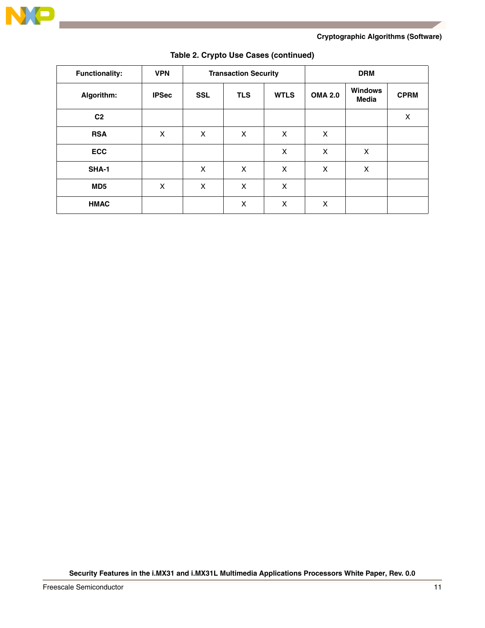

#### **Cryptographic Algorithms (Software)**

| <b>Functionality:</b> | <b>VPN</b>   | <b>Transaction Security</b> |            |             | <b>DRM</b>     |                                |                |
|-----------------------|--------------|-----------------------------|------------|-------------|----------------|--------------------------------|----------------|
| Algorithm:            | <b>IPSec</b> | <b>SSL</b>                  | <b>TLS</b> | <b>WTLS</b> | <b>OMA 2.0</b> | <b>Windows</b><br><b>Media</b> | <b>CPRM</b>    |
| C <sub>2</sub>        |              |                             |            |             |                |                                | $\pmb{\times}$ |
| <b>RSA</b>            | X            | X                           | X          | X           | X              |                                |                |
| <b>ECC</b>            |              |                             |            | X           | X              | X                              |                |
| <b>SHA-1</b>          |              | X                           | X          | X           | X              | X                              |                |
| MD <sub>5</sub>       | X            | X                           | X          | X           |                |                                |                |
| <b>HMAC</b>           |              |                             | X          | X           | X              |                                |                |

#### **Table 2. Crypto Use Cases (continued)**

**Security Features in the i.MX31 and i.MX31L Multimedia Applications Processors White Paper, Rev. 0.0**